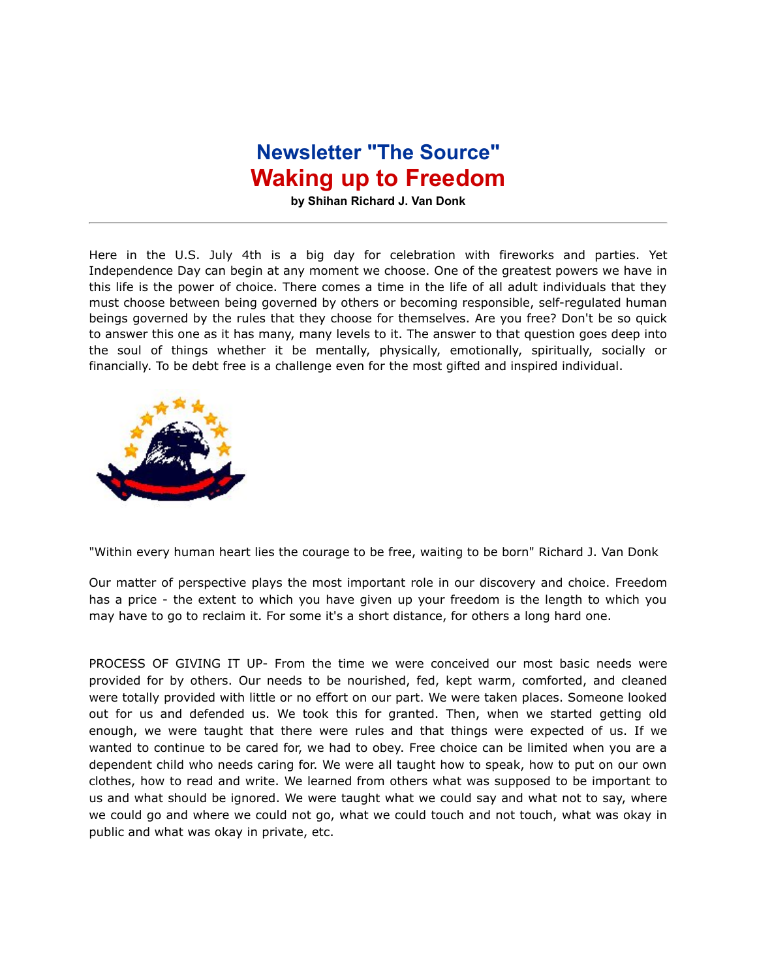## **Newsletter "The Source" Waking up to Freedom**

**by Shihan Richard J. Van Donk**

Here in the U.S. July 4th is a big day for celebration with fireworks and parties. Yet Independence Day can begin at any moment we choose. One of the greatest powers we have in this life is the power of choice. There comes a time in the life of all adult individuals that they must choose between being governed by others or becoming responsible, self-regulated human beings governed by the rules that they choose for themselves. Are you free? Don't be so quick to answer this one as it has many, many levels to it. The answer to that question goes deep into the soul of things whether it be mentally, physically, emotionally, spiritually, socially or financially. To be debt free is a challenge even for the most gifted and inspired individual.



"Within every human heart lies the courage to be free, waiting to be born" Richard J. Van Donk

Our matter of perspective plays the most important role in our discovery and choice. Freedom has a price - the extent to which you have given up your freedom is the length to which you may have to go to reclaim it. For some it's a short distance, for others a long hard one.

PROCESS OF GIVING IT UP- From the time we were conceived our most basic needs were provided for by others. Our needs to be nourished, fed, kept warm, comforted, and cleaned were totally provided with little or no effort on our part. We were taken places. Someone looked out for us and defended us. We took this for granted. Then, when we started getting old enough, we were taught that there were rules and that things were expected of us. If we wanted to continue to be cared for, we had to obey. Free choice can be limited when you are a dependent child who needs caring for. We were all taught how to speak, how to put on our own clothes, how to read and write. We learned from others what was supposed to be important to us and what should be ignored. We were taught what we could say and what not to say, where we could go and where we could not go, what we could touch and not touch, what was okay in public and what was okay in private, etc.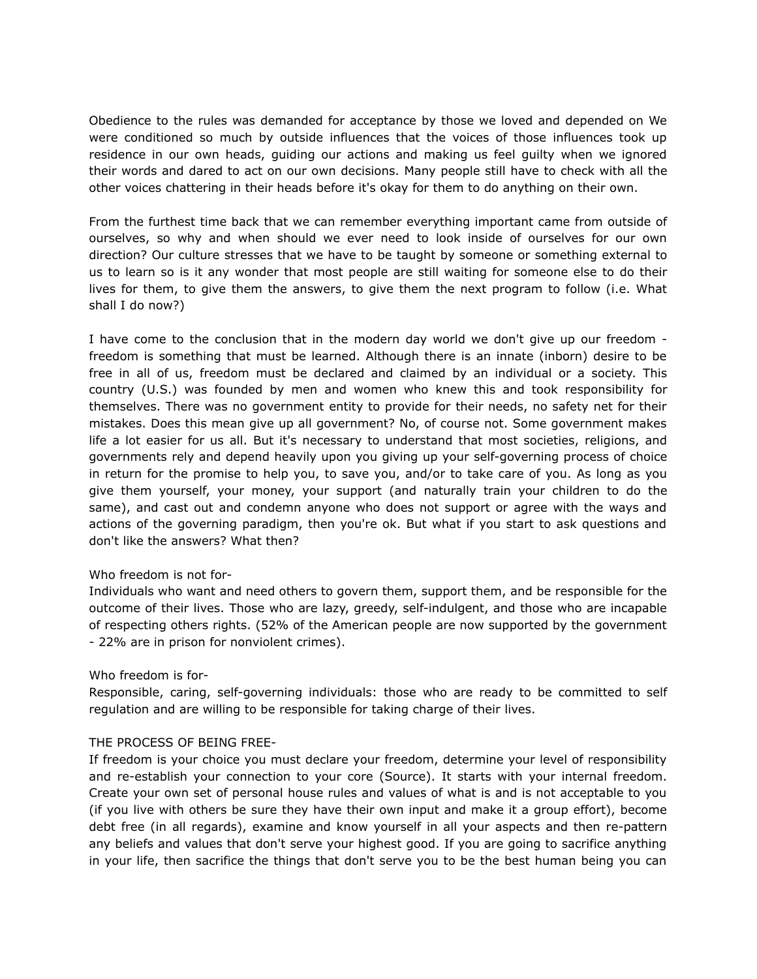Obedience to the rules was demanded for acceptance by those we loved and depended on We were conditioned so much by outside influences that the voices of those influences took up residence in our own heads, guiding our actions and making us feel guilty when we ignored their words and dared to act on our own decisions. Many people still have to check with all the other voices chattering in their heads before it's okay for them to do anything on their own.

From the furthest time back that we can remember everything important came from outside of ourselves, so why and when should we ever need to look inside of ourselves for our own direction? Our culture stresses that we have to be taught by someone or something external to us to learn so is it any wonder that most people are still waiting for someone else to do their lives for them, to give them the answers, to give them the next program to follow (i.e. What shall I do now?)

I have come to the conclusion that in the modern day world we don't give up our freedom freedom is something that must be learned. Although there is an innate (inborn) desire to be free in all of us, freedom must be declared and claimed by an individual or a society. This country (U.S.) was founded by men and women who knew this and took responsibility for themselves. There was no government entity to provide for their needs, no safety net for their mistakes. Does this mean give up all government? No, of course not. Some government makes life a lot easier for us all. But it's necessary to understand that most societies, religions, and governments rely and depend heavily upon you giving up your self-governing process of choice in return for the promise to help you, to save you, and/or to take care of you. As long as you give them yourself, your money, your support (and naturally train your children to do the same), and cast out and condemn anyone who does not support or agree with the ways and actions of the governing paradigm, then you're ok. But what if you start to ask questions and don't like the answers? What then?

## Who freedom is not for-

Individuals who want and need others to govern them, support them, and be responsible for the outcome of their lives. Those who are lazy, greedy, self-indulgent, and those who are incapable of respecting others rights. (52% of the American people are now supported by the government - 22% are in prison for nonviolent crimes).

## Who freedom is for-

Responsible, caring, self-governing individuals: those who are ready to be committed to self regulation and are willing to be responsible for taking charge of their lives.

## THE PROCESS OF BEING FREE-

If freedom is your choice you must declare your freedom, determine your level of responsibility and re-establish your connection to your core (Source). It starts with your internal freedom. Create your own set of personal house rules and values of what is and is not acceptable to you (if you live with others be sure they have their own input and make it a group effort), become debt free (in all regards), examine and know yourself in all your aspects and then re-pattern any beliefs and values that don't serve your highest good. If you are going to sacrifice anything in your life, then sacrifice the things that don't serve you to be the best human being you can